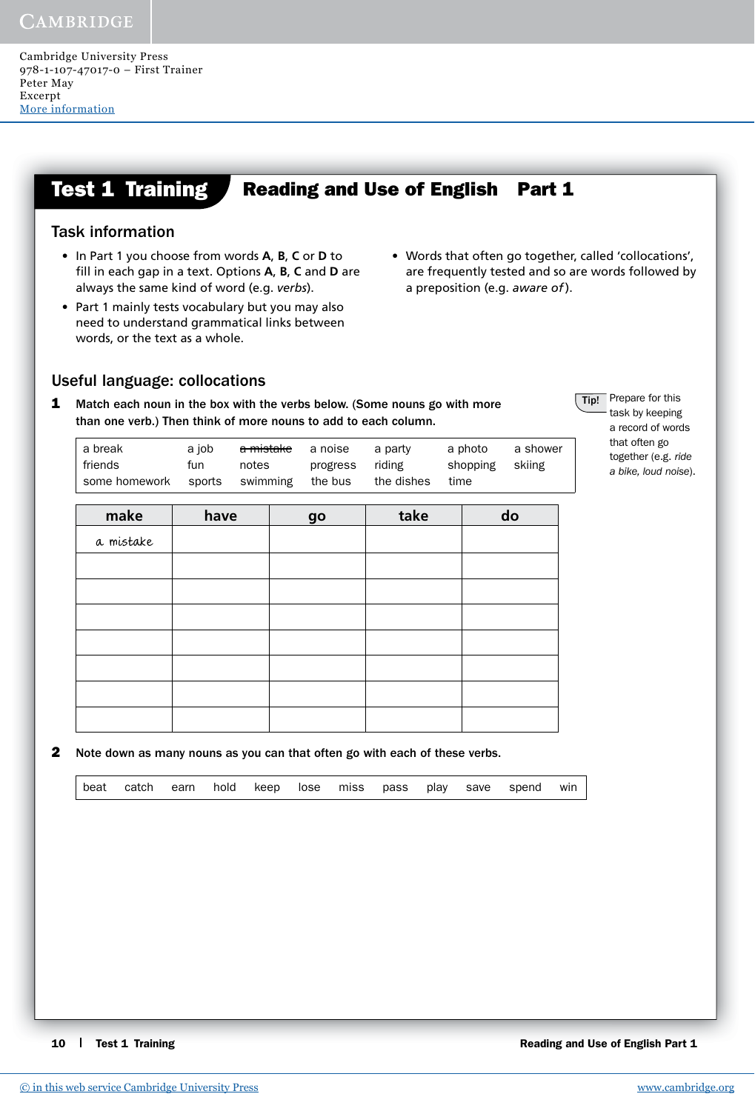#### **Test 1 Training Reading and Use of English Part 1**

## Task information

- In Part 1 you choose from words **A**, **B**, **C** or **D** to fill in each gap in a text. Options A, B, C and D are always the same kind of word (e.g. *verbs*).
- Part 1 mainly tests vocabulary but you may also need to understand grammatical links between words, or the text as a whole.
- Words that often go together, called 'collocations', are frequently tested and so are words followed by a preposition (e.g. *aware of* ).

**Tip!** Prepare for this task by keeping a record of words that often go together (e.g. *ride a bike, loud noise*).

## Useful language: collocations

**1** Match each noun in the box with the verbs below. (Some nouns go with more than one verb.) Then think of more nouns to add to each column.

| friends<br>riding<br>shopping skiing<br>notes<br>progress<br>fun<br>the dishes<br>some homework sports swimming<br>the bus<br>time | <del>a mistake</del> a noise<br>a break<br>a iob<br>a photo<br>a party<br>a shower |
|------------------------------------------------------------------------------------------------------------------------------------|------------------------------------------------------------------------------------|
|------------------------------------------------------------------------------------------------------------------------------------|------------------------------------------------------------------------------------|

| make      | have | go | take | do |
|-----------|------|----|------|----|
| a mistake |      |    |      |    |
|           |      |    |      |    |
|           |      |    |      |    |
|           |      |    |      |    |
|           |      |    |      |    |
|           |      |    |      |    |
|           |      |    |      |    |
|           |      |    |      |    |

2 Note down as many nouns as you can that often go with each of these verbs.

|--|

10 **Test 1 Training 10 Test 1 Training** Reading and Use of English Part 1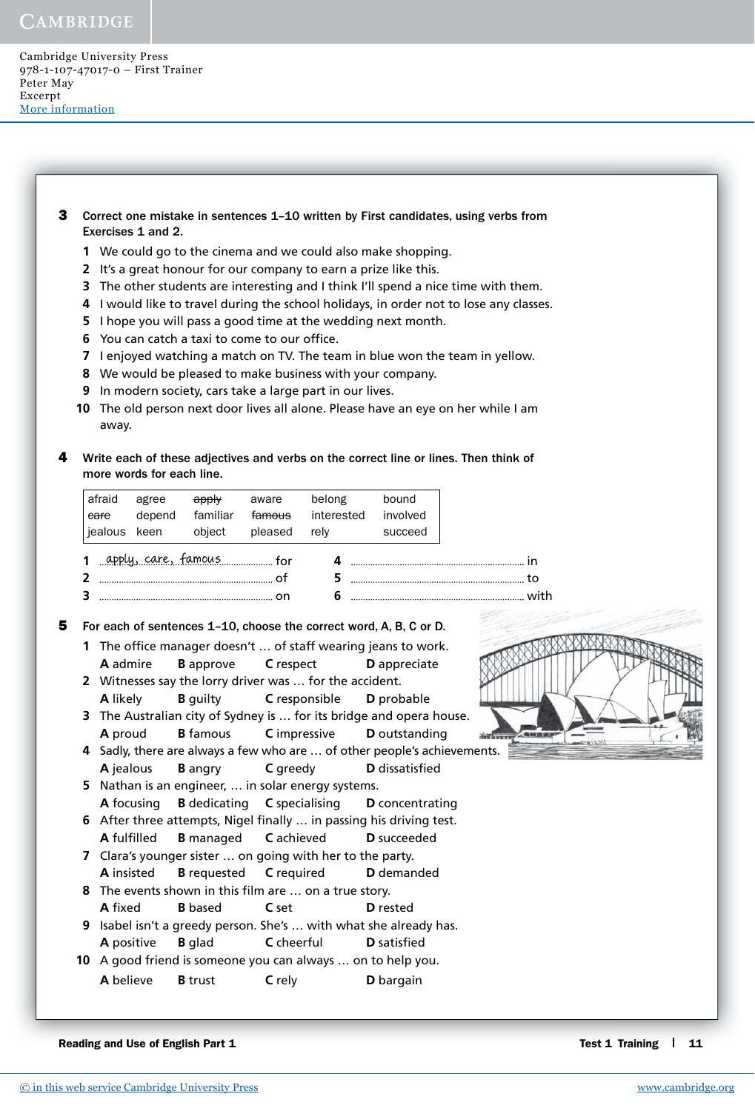Cambridge University Press 978-1-107-47017-0 – First Trainer Peter May Excerpt [More information](http://www.cambridge.org/9781107470170)

- **3** Correct one mistake in sentences 1-10 written by First candidates, using verbs from Exercises 1 and 2.
	- **1** We could go to the cinema and we could also make shopping.
	- **2** It's a great honour for our company to earn a prize like this.
	- **3** The other students are interesting and I think I'll spend a nice time with them.
	- **4** I would like to travel during the school holidays, in order not to lose any classes.
	- **5** I hope you will pass a good time at the wedding next month.
	- **6** You can catch a taxi to come to our office.
	- **7** I enjoyed watching a match on TV. The team in blue won the team in yellow.
	- **8** We would be pleased to make business with your company.
	- **9** In modern society, cars take a large part in our lives.
	- **10** The old person next door lives all alone. Please have an eye on her while I am away.
- Write each of these adjectives and verbs on the correct line or lines. Then think of more words for each line.

| afraid<br>eare<br>jealous keen | agree<br>depend | deply<br>familiar<br>object     | aware<br>famous<br>pleased | belong<br>interested<br>relv | bound<br>involved<br>succeed |                                                                                                                                                                                                                                                                                                                                   |
|--------------------------------|-----------------|---------------------------------|----------------------------|------------------------------|------------------------------|-----------------------------------------------------------------------------------------------------------------------------------------------------------------------------------------------------------------------------------------------------------------------------------------------------------------------------------|
|                                |                 | 1 apply, care, famous means for |                            |                              |                              |                                                                                                                                                                                                                                                                                                                                   |
|                                |                 | $\sim$ 01                       |                            |                              |                              | $\overline{5}$ to the set of $\overline{5}$ and $\overline{5}$ and $\overline{5}$ and $\overline{5}$ and $\overline{5}$ and $\overline{5}$ and $\overline{5}$ and $\overline{5}$ and $\overline{5}$ and $\overline{5}$ and $\overline{5}$ and $\overline{5}$ and $\overline{5}$ and $\overline{5}$ and $\overline{5}$ and $\over$ |
|                                |                 |                                 |                            |                              |                              |                                                                                                                                                                                                                                                                                                                                   |

**5** For each of sentences 1–10, choose the correct word, A, B, C or D.

- **1** The office manager doesn't ... of staff wearing jeans to work.  **A** admire **B** approve **C** respect **D** appreciate
- **2** Witnesses say the lorry driver was … for the accident. **A** likely **B** guilty **C** responsible **D** probable
- **3** The Australian city of Sydney is … for its bridge and opera house. **A** proud **B** famous **C** impressive **D** outstanding
- **4** Sadly, there are always a few who are … of other people's achievements. **A** jealous **B** angry **C** greedy **D** dissatisfied
- **5** Nathan is an engineer, … in solar energy systems. **A** focusing **B** dedicating **C** specialising **D** concentrating **6** After three attempts, Nigel finally ... in passing his driving test.
- **A** fulfi lled **B** managed **C** achieved **D** succeeded **7** Clara's younger sister … on going with her to the party.
- **A** insisted **B** requested **C** required **D** demanded
- **8** The events shown in this film are ... on a true story. **A** fixed **B** based **C** set **D** rested
- **9** Isabel isn't a greedy person. She's … with what she already has. **A** positive **B** glad **C** cheerful **D** satisfied
- **10** A good friend is someone you can always … on to help you. **A** believe **B** trust **C** rely **D** bargain

Reading and Use of English Part 1 Test 1 Training 1 11

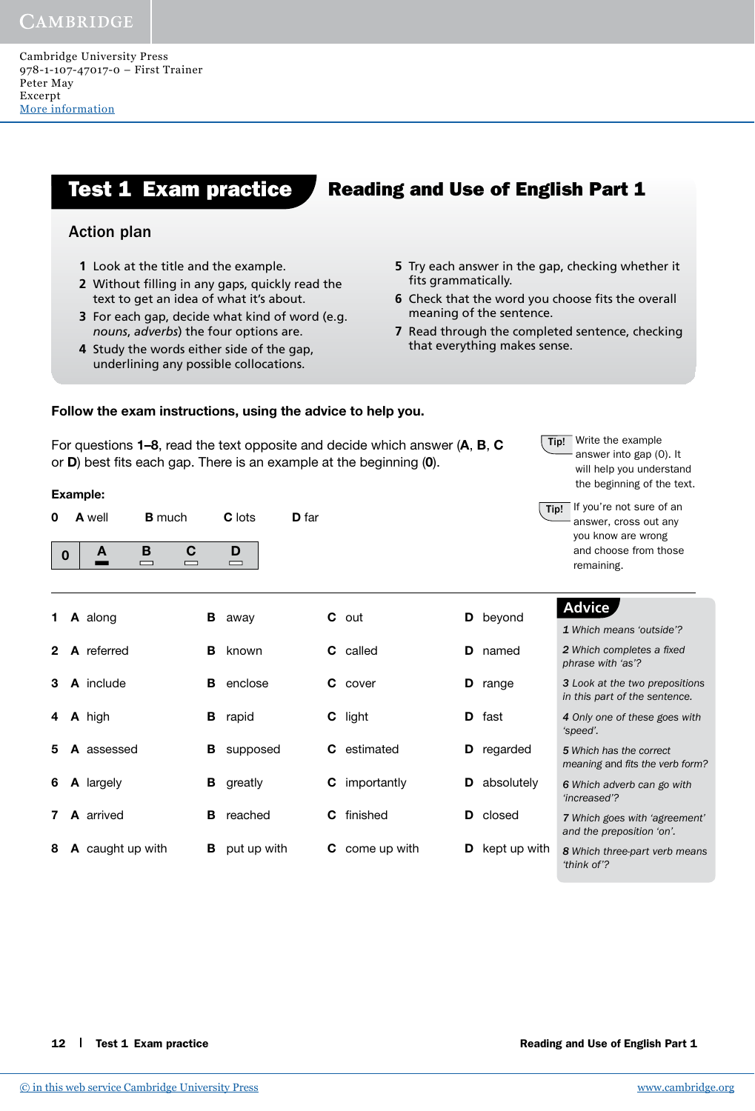Cambridge University Press 978-1-107-47017-0 – First Trainer Peter May Excerpt [More information](http://www.cambridge.org/9781107470170)

# **Action plan Action plan**

Example:

- **1** Look at the title and the example.
- **2** Without filling in any gaps, quickly read the **Example 2** fi **1 1 B 1 Ext** to get an idea of what it's about. **Ext 1 B 6** Check the should you do find you do find you do find you do find you do find you do find you do find you do find you do find you do find you do fin
- **2** For each gap, decide what kind of word (e.g. **meaning 3** How can a knowledge of prepositions help you do well all in this Part and the contract of the four options are.
- **4 If you are not certain about any possible collocations. 4** Study the words either side of the gap,

0 A well B much C lots D far

0 A B C D

# Test 1 Exam practice Reading and Use of English Part 1

- **5** Try each answer in the gap, checking whether it fits grammatically.
- **6** Check that the word you choose fits the overall meaning of the sentence.
- **7** Read through the completed sentence, checking that everything makes sense.

#### Follow the exam instructions, using the advice to help you.

For questions 1–8, read the text opposite and decide which answer (A, B, C or  $D$ ) best fits each gap. There is an example at the beginning  $(0)$ .

**Tip!** Write the example answer into gap (0). It will help you understand the beginning of the text.

| $\vert$ Tip! | If you're not sure of an |
|--------------|--------------------------|
|              | answer, cross out any    |
|              | you know are wrong       |
|              | and choose from those    |
|              | remaining.               |

| 1. | A along          |    | <b>B</b> away |    | C out                | D  | beyond          | <b>Advice</b><br>1 Which means 'outside'?                              |
|----|------------------|----|---------------|----|----------------------|----|-----------------|------------------------------------------------------------------------|
|    | 2 A referred     | в. | known         |    | <b>C</b> called      | D  | named           | 2 Which completes a fixed<br>phrase with 'as'?                         |
| 3. | <b>A</b> include | в  | enclose       |    | <b>C</b> cover       | D  | range           | <b>3</b> Look at the two prepositions<br>in this part of the sentence. |
|    | 4 A high         | В  | rapid         |    | C light              | D. | fast            | 4 Only one of these goes with<br>'speed'.                              |
| 5. | A assessed       | в  | supposed      | C. | estimated            | D  | regarded        | 5 Which has the correct<br>meaning and fits the verb form?             |
| 6. | <b>A</b> largely | В  | greatly       |    | <b>C</b> importantly | D  | absolutely      | 6 Which adverb can go with<br>'increased'?                             |
|    | <b>A</b> arrived | в  | reached       |    | <b>C</b> finished    |    | <b>D</b> closed | 7 Which goes with 'agreement'<br>and the preposition 'on'.             |
| 8  | A caught up with | в  | put up with   | C. | come up with         | D  | kept up with    | 8 Which three-part verb means                                          |

*'think of'?*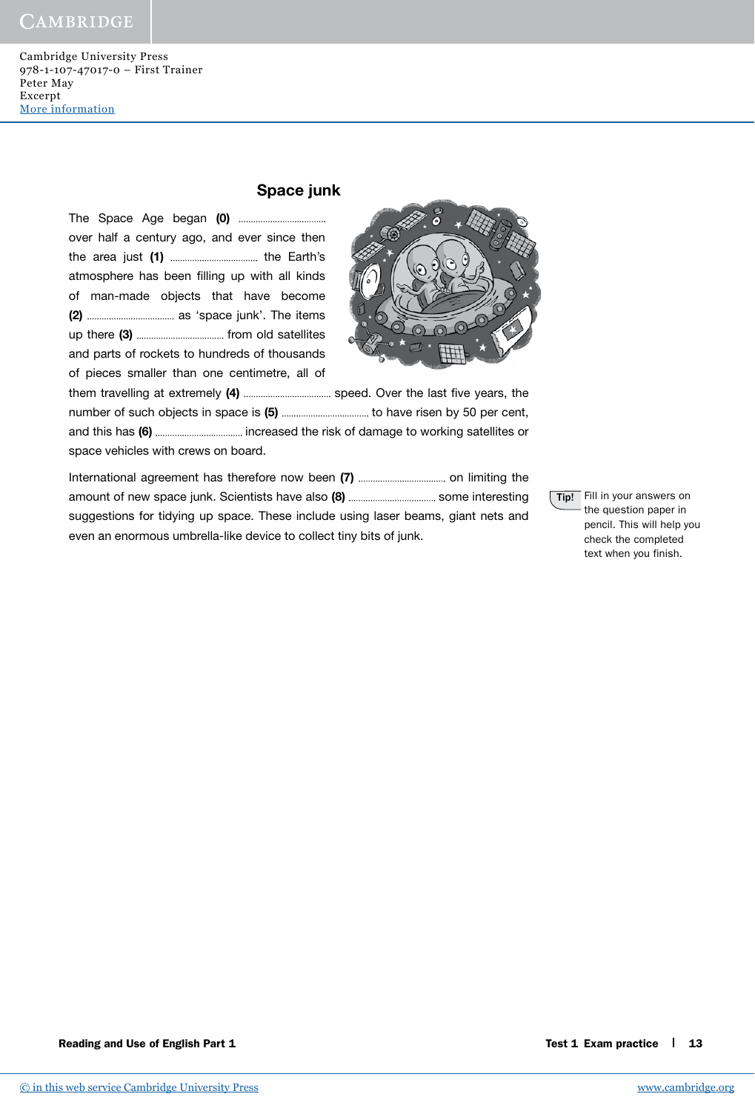### Space junk

The Space Age began (0) over half a century ago, and ever since then the area just (1) the Earth's atmosphere has been filling up with all kinds of man-made objects that have become (2) as 'space junk'. The items up there (3) from old satellites and parts of rockets to hundreds of thousands of pieces smaller than one centimetre, all of



them travelling at extremely (4) speed. Over the last fi ve years, the number of such objects in space is (5) to have risen by 50 per cent, and this has (6) increased the risk of damage to working satellites or space vehicles with crews on board.

International agreement has therefore now been (7) on limiting the amount of new space junk. Scientists have also (8) some interesting suggestions for tidying up space. These include using laser beams, giant nets and even an enormous umbrella-like device to collect tiny bits of junk.

Tip! Fill in your answers on the question paper in pencil. This will help you check the completed text when you finish.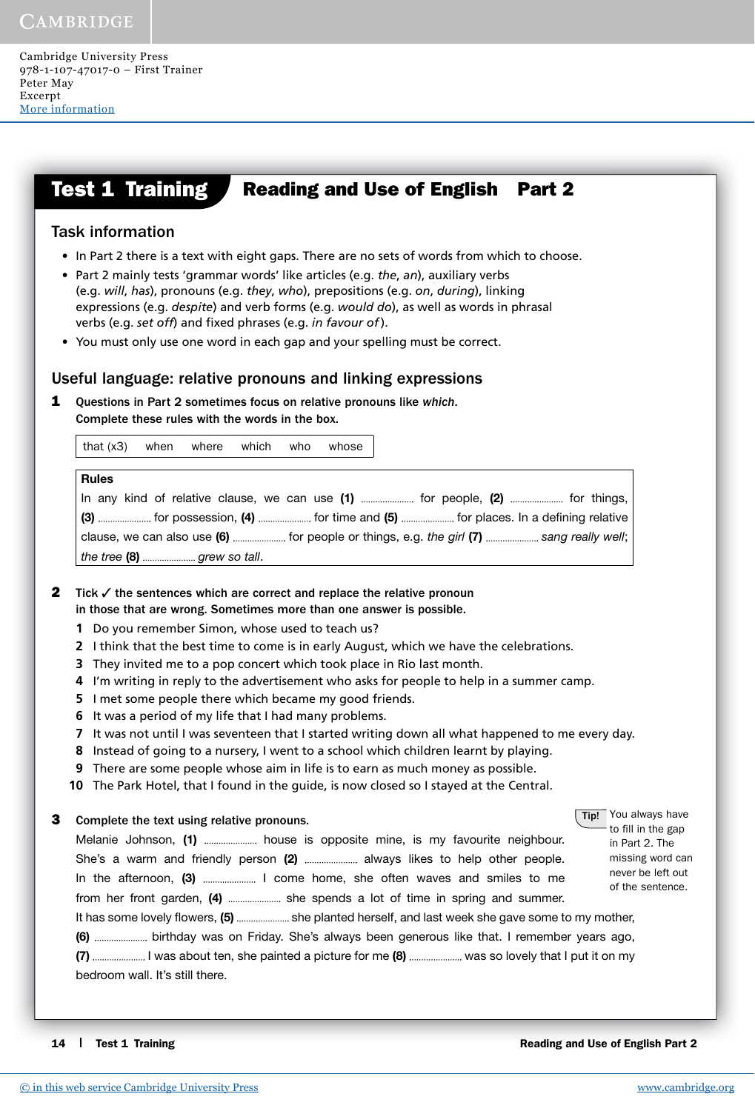#### **Test 1 Training** Reading and Use of English Part 2

## Task information

- In Part 2 there is a text with eight gaps. There are no sets of words from which to choose.
- Part 2 mainly tests 'grammar words' like articles (e.g. *the*, *an*), auxiliary verbs (e.g. *will*, *has*), pronouns (e.g. *they*, *who*), prepositions (e.g. *on*, *during*), linking expressions (e.g. *despite*) and verb forms (e.g. *would do*), as well as words in phrasal verbs (e.g. *set off*) and fixed phrases (e.g. *in favour of*).
- You must only use one word in each gap and your spelling must be correct.

#### Useful language: relative pronouns and linking expressions

1 Questions in Part 2 sometimes focus on relative pronouns like *which*. Complete these rules with the words in the box.

that (x3) when where which who whose

| <b>Rules</b>                                                                            |
|-----------------------------------------------------------------------------------------|
| In any kind of relative clause, we can use (1)  for people, (2)  for things,            |
| (3)  for possession, (4)  for time and (5)  for places. In a defining relative          |
| clause, we can also use (6)  for people or things, e.g. the girl (7)  sang really well; |
|                                                                                         |

**2** Tick  $\checkmark$  the sentences which are correct and replace the relative pronoun in those that are wrong. Sometimes more than one answer is possible.

- **1** Do you remember Simon, whose used to teach us?
- **2** I think that the best time to come is in early August, which we have the celebrations.
- **3** They invited me to a pop concert which took place in Rio last month.
- **4** I'm writing in reply to the advertisement who asks for people to help in a summer camp.
- **5** I met some people there which became my good friends.
- **6** It was a period of my life that I had many problems.
- **7** It was not until I was seventeen that I started writing down all what happened to me every day.
- **8** Instead of going to a nursery, I went to a school which children learnt by playing.
- **9** There are some people whose aim in life is to earn as much money as possible.
- **10** The Park Hotel, that I found in the guide, is now closed so I stayed at the Central.
- **3** Complete the text using relative pronouns.

Melanie Johnson, (1) ............................ house is opposite mine, is my favourite neighbour. She's a warm and friendly person (2) ....................... always likes to help other people. In the afternoon, (3) I come home, she often waves and smiles to me from her front garden, (4) ....................... she spends a lot of time in spring and summer.

**Tip!** You always have to fill in the gap in Part 2. The missing word can never be left out of the sentence.

It has some lovely flowers, (5) ....................... she planted herself, and last week she gave some to my mother,

(6) birthday was on Friday. She's always been generous like that. I remember years ago, (7) ........................... I was about ten, she painted a picture for me (8) ........................... was so lovely that I put it on my bedroom wall. It's still there.

14 Test 1 Training **14 Test 1 Training** Reading and Use of English Part 2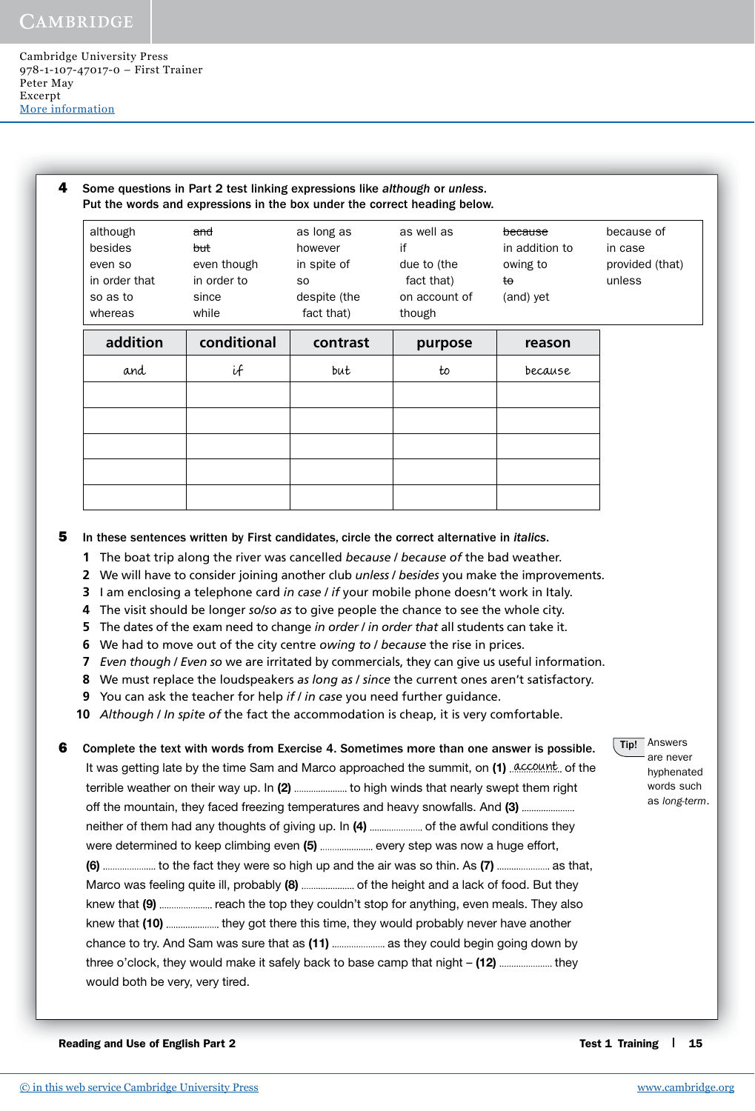| although<br>besides<br>even so<br>in order that<br>so as to<br>whereas | and<br><del>but</del><br>even though<br>in order to<br>since<br>while | as long as<br>however<br>in spite of<br>S <sub>0</sub><br>despite (the<br>fact that) | as well as<br>if<br>due to (the<br>fact that)<br>on account of<br>though | because<br>in addition to<br>owing to<br>to<br>(and) yet | because of<br>in case<br>provided (that)<br>unless |
|------------------------------------------------------------------------|-----------------------------------------------------------------------|--------------------------------------------------------------------------------------|--------------------------------------------------------------------------|----------------------------------------------------------|----------------------------------------------------|
| addition                                                               | conditional                                                           | contrast                                                                             | purpose                                                                  | reason                                                   |                                                    |
| and                                                                    | if                                                                    | but                                                                                  | to                                                                       | because                                                  |                                                    |
|                                                                        |                                                                       |                                                                                      |                                                                          |                                                          |                                                    |
|                                                                        |                                                                       |                                                                                      |                                                                          |                                                          |                                                    |
|                                                                        |                                                                       |                                                                                      |                                                                          |                                                          |                                                    |
|                                                                        |                                                                       |                                                                                      |                                                                          |                                                          |                                                    |
|                                                                        |                                                                       |                                                                                      |                                                                          |                                                          |                                                    |

5 In these sentences written by First candidates, circle the correct alternative in *italics*.

- **1** The boat trip along the river was cancelled *because* / *because of* the bad weather.
- **2** We will have to consider joining another club *unless* / *besides* you make the improvements.
- **3** I am enclosing a telephone card *in case* / *if* your mobile phone doesn't work in Italy.
- **4** The visit should be longer *so*/*so as* to give people the chance to see the whole city.
- **5** The dates of the exam need to change *in order* / *in order that* all students can take it.
- **6** We had to move out of the city centre *owing to* / *because* the rise in prices.
- **7** *Even though* / *Even so* we are irritated by commercials, they can give us useful information.
- **8** We must replace the loudspeakers *as long as* / *since* the current ones aren't satisfactory.
- **9** You can ask the teacher for help *if* / *in case* you need further guidance.

**10** *Although* / *In spite of* the fact the accommodation is cheap, it is very comfortable.

**6** Complete the text with words from Exercise 4. Sometimes more than one answer is possible. It was getting late by the time Sam and Marco approached the summit, on (1) . Account. of the terrible weather on their way up. In (2) ............................ to high winds that nearly swept them right off the mountain, they faced freezing temperatures and heavy snowfalls. And (3) .............................. neither of them had any thoughts of giving up. In (4) of the awful conditions they were determined to keep climbing even (5) ....................... every step was now a huge effort, (6) ...................... to the fact they were so high up and the air was so thin. As (7) .................... as that, Marco was feeling quite ill, probably (8) ........................ of the height and a lack of food. But they knew that (9) reach the top they couldn't stop for anything, even meals. They also knew that (10) ...................... they got there this time, they would probably never have another chance to try. And Sam was sure that as (11) ...................... as they could begin going down by three o'clock, they would make it safely back to base camp that night  $-$  (12) ...................... they would both be very, very tired.

**Tip!** Answers are never

hyphenated words such as *long-term*.

Reading and Use of English Part 2 Test 1 Training  $\parallel$  15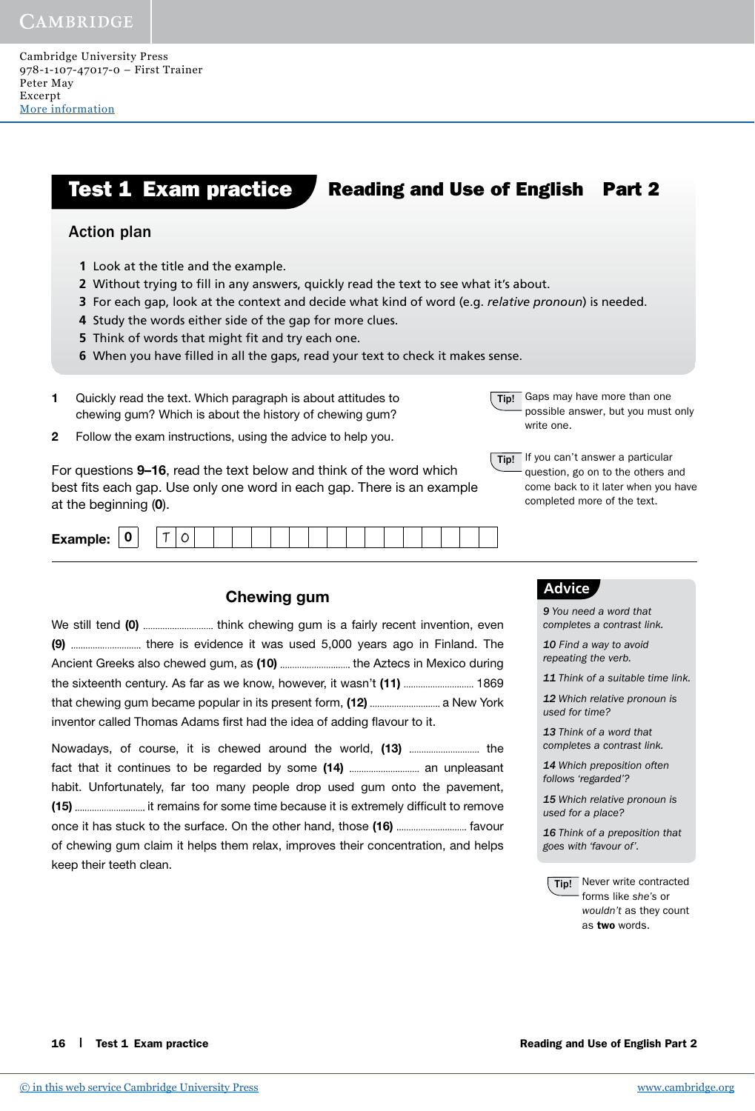Cambridge University Press 978-1-107-47017-0 – First Trainer Peter May Excerpt [More information](http://www.cambridge.org/9781107470170)

#### **Test 1 Exam practice Reading and Use of English Part 2**

#### Action plan

- **1** Look at the title and the example.
- **2** Without trying to fill in any answers, quickly read the text to see what it's about.
- **3** For each gap, look at the context and decide what kind of word (e.g. *relative pronoun*) is needed.
- **4** Study the words either side of the gap for more clues.
- **5** Think of words that might fit and try each one.
- **6** When you have filled in all the gaps, read your text to check it makes sense.
- 1 Quickly read the text. Which paragraph is about attitudes to chewing gum? Which is about the history of chewing gum?
- 2 Follow the exam instructions, using the advice to help you.

For questions 9–16, read the text below and think of the word which best fits each gap. Use only one word in each gap. There is an example at the beginning (0).

| Fxs<br>v<br>—^~-- <i>-</i> -- |
|-------------------------------|
|-------------------------------|

#### Chewing gum

| (9)  there is evidence it was used 5,000 years ago in Finland. The       |  |
|--------------------------------------------------------------------------|--|
| Ancient Greeks also chewed gum, as (10)  the Aztecs in Mexico during     |  |
| the sixteenth century. As far as we know, however, it wasn't (11)  1869  |  |
| that chewing gum became popular in its present form, (12)  a New York    |  |
| inventor called Thomas Adams first had the idea of adding flavour to it. |  |

Nowadays, of course, it is chewed around the world, (13) the fact that it continues to be regarded by some (14) an unpleasant habit. Unfortunately, far too many people drop used gum onto the pavement, (15) it remains for some time because it is extremely diffi cult to remove once it has stuck to the surface. On the other hand, those (16) favour of chewing gum claim it helps them relax, improves their concentration, and helps keep their teeth clean.

**Tip!** Gaps may have more than one possible answer, but you must only write one.

Tip! If you can't answer a particular question, go on to the others and come back to it later when you have completed more of the text.

#### **Advice**

*9 You need a word that completes a contrast link.*

*10 Find a way to avoid repeating the verb.*

*11 Think of a suitable time link.*

*12 Which relative pronoun is used for time?*

*13 Think of a word that completes a contrast link.*

*14 Which preposition often follows 'regarded'?*

*15 Which relative pronoun is used for a place?*

*16 Think of a preposition that goes with 'favour of'.*

**Tip!** Never write contracted forms like *she's* or *wouldn't* as they count as two words.

16 Test 1 Exam practice **Reading and Use of English Part 2**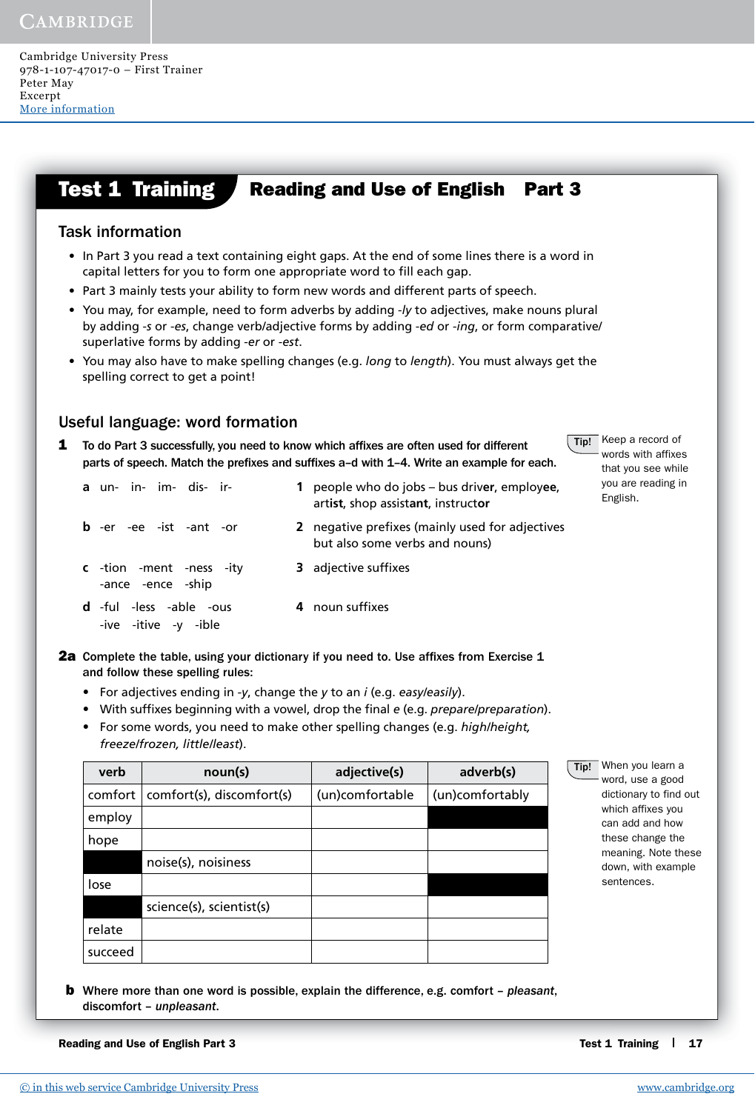#### **Test 1 Training Reading and Use of English Part 3**

### Task information

- In Part 3 you read a text containing eight gaps. At the end of some lines there is a word in capital letters for you to form one appropriate word to fill each gap.
- Part 3 mainly tests your ability to form new words and different parts of speech.
- You may, for example, need to form adverbs by adding -*ly* to adjectives, make nouns plural by adding -*s* or -*es*, change verb/adjective forms by adding -*ed* or -*ing*, or form comparative/ superlative forms by adding -*er* or -*est*.
- You may also have to make spelling changes (e.g. *long* to *length*). You must always get the spelling correct to get a point!

## Useful language: word formation

- 1 To do Part 3 successfully, you need to know which affixes are often used for different parts of speech. Match the prefixes and suffixes a-d with 1-4. Write an example for each.
	- **a** un- in- im- dis- ir- **1** people who do jobs bus driv**er**, employ**ee**, art**ist**, shop assist**ant**, instruct**or b** -er -ee -ist -ant -or **2** negative prefixes (mainly used for adjectives but also some verbs and nouns) **c** -tion -ment -ness -ity -ance -ence -ship **3** adjective suffixes
		- **d** -ful -less -able -ous -ive -itive -y -ible 4 noun suffixes
- **2a** Complete the table, using your dictionary if you need to. Use affixes from Exercise 1 and follow these spelling rules:
	- For adjectives ending in *-y*, change the *y* to an *i* (e.g. *easy/easily*).
	- With suffixes beginning with a vowel, drop the final *e* (e.g. *prepare/preparation*).
	- For some words, you need to make other spelling changes (e.g. *high/height, freeze/frozen, little/least*).

| verb    | noun(s)                   | adjective(s)    | adverb(s)       |
|---------|---------------------------|-----------------|-----------------|
| comfort | comfort(s), discomfort(s) | (un)comfortable | (un)comfortably |
| employ  |                           |                 |                 |
| hope    |                           |                 |                 |
|         | noise(s), noisiness       |                 |                 |
| lose    |                           |                 |                 |
|         | science(s), scientist(s)  |                 |                 |
| relate  |                           |                 |                 |
| succeed |                           |                 |                 |

**b** Where more than one word is possible, explain the difference, e.g. comfort - *pleasant*, discomfort – *unpleasant*.

Reading and Use of English Part 3 Test 1 Training 1 17

Tip! When you learn a word, use a good dictionary to find out which affixes you can add and how these change the meaning. Note these down, with example

sentences.

Tip! Keep a record of words with affixes that you see while you are reading in

English.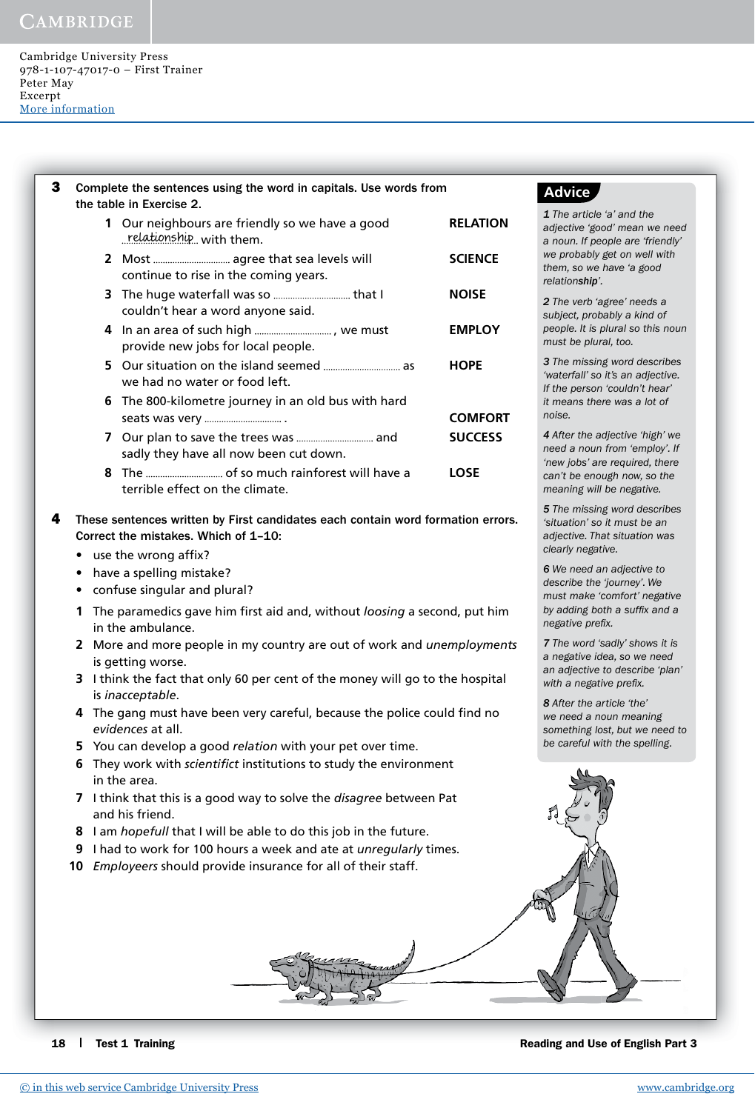Cambridge University Press 978-1-107-47017-0 – First Trainer Peter May Excerpt [More information](http://www.cambridge.org/9781107470170)

| 3 |           | Complete the sentences using the word in capitals. Use words from<br>the table in Exercise 2.                           |                 |  |  |  |  |  |
|---|-----------|-------------------------------------------------------------------------------------------------------------------------|-----------------|--|--|--|--|--|
|   |           | 1 Our neighbours are friendly so we have a good<br>relationship, with them.                                             | <b>RELATION</b> |  |  |  |  |  |
|   |           | continue to rise in the coming years.                                                                                   | <b>SCIENCE</b>  |  |  |  |  |  |
|   |           | couldn't hear a word anyone said.                                                                                       | <b>NOISE</b>    |  |  |  |  |  |
|   |           | provide new jobs for local people.                                                                                      | <b>EMPLOY</b>   |  |  |  |  |  |
|   |           | we had no water or food left.                                                                                           | <b>HOPE</b>     |  |  |  |  |  |
|   |           | 6 The 800-kilometre journey in an old bus with hard                                                                     | <b>COMFORT</b>  |  |  |  |  |  |
|   |           | sadly they have all now been cut down.                                                                                  | <b>SUCCESS</b>  |  |  |  |  |  |
|   |           | terrible effect on the climate.                                                                                         | <b>LOSE</b>     |  |  |  |  |  |
| 4 |           | These sentences written by First candidates each contain word formation errors.<br>Correct the mistakes. Which of 1-10: |                 |  |  |  |  |  |
|   |           | use the wrong affix?                                                                                                    |                 |  |  |  |  |  |
|   | $\bullet$ | have a spelling mistake?                                                                                                |                 |  |  |  |  |  |
|   | ٠         | confuse singular and plural?                                                                                            |                 |  |  |  |  |  |
|   | 1         | The paramedics gave him first aid and, without loosing a second, put him                                                |                 |  |  |  |  |  |

- in the ambulance. **2** More and more people in my country are out of work and *unemployments*
- is getting worse.
- **3** I think the fact that only 60 per cent of the money will go to the hospital is *inacceptable*.
- **4** The gang must have been very careful, because the police could find no *evidences* at all.
- **5** You can develop a good *relation* with your pet over time.
- **6** They work with *scientifict* institutions to study the environment in the area.
- **7** I think that this is a good way to solve the *disagree* between Pat and his friend.
- **8** I am *hopefull* that I will be able to do this job in the future.
- **9** I had to work for 100 hours a week and ate at *unregularly* times.
- **10** *Employeers* should provide insurance for all of their staff.

18 Test 1 Training 18 Test 1 Training and Use of English Part 3

## **Advice**

*1 The article 'a' and the adjective 'good' mean we need a noun. If people are 'friendly' we probably get on well with them, so we have 'a good relationship'.*

*2 The verb 'agree' needs a subject, probably a kind of people. It is plural so this noun must be plural, too.*

*3 The missing word describes 'waterfall' so it's an adjective. If the person 'couldn't hear' it means there was a lot of noise.*

*4 After the adjective 'high' we need a noun from 'employ'. If 'new jobs' are required, there can't be enough now, so the meaning will be negative.*

*5 The missing word describes 'situation' so it must be an adjective. That situation was clearly negative.*

*6 We need an adjective to describe the 'journey'. We must make 'comfort' negative*  by adding both a suffix and a *negative prefix.* 

*7 The word 'sadly' shows it is a negative idea, so we need an adjective to describe 'plan'*  with a negative prefix.

*8 After the article 'the' we need a noun meaning something lost, but we need to be careful with the spelling.*